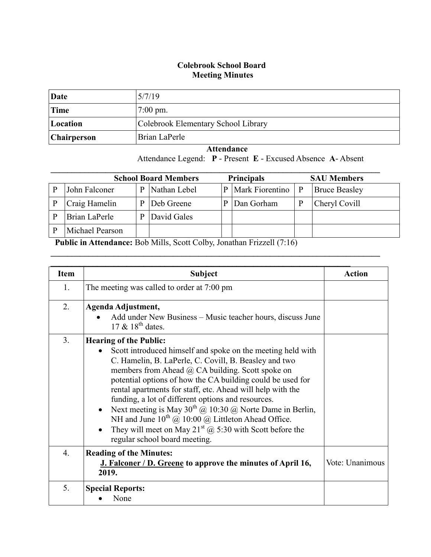## **Colebrook School Board Meeting Minutes**

| Date               | 5/7/19                              |
|--------------------|-------------------------------------|
| Time               | $7:00 \text{ pm}$ .                 |
| Location           | Colebrook Elementary School Library |
| <b>Chairperson</b> | Brian LaPerle                       |

 **Attendance** Attendance Legend: **P** - Present **E** - Excused Absence **A**- Absent

| <b>Principals</b><br><b>School Board Members</b><br><b>SAU Members</b> |   |              |   |                 |   |                      |
|------------------------------------------------------------------------|---|--------------|---|-----------------|---|----------------------|
| John Falconer                                                          | D | Nathan Lebel | P | Mark Fiorentino | P | <b>Bruce Beasley</b> |
| Craig Hamelin                                                          | D | Deb Greene   |   | Dan Gorham      | P | Cheryl Covill        |
| Brian LaPerle                                                          | D | David Gales  |   |                 |   |                      |
| Michael Pearson                                                        |   |              |   |                 |   |                      |

 $\mathcal{L}_\mathcal{L} = \mathcal{L}_\mathcal{L} = \mathcal{L}_\mathcal{L} = \mathcal{L}_\mathcal{L} = \mathcal{L}_\mathcal{L} = \mathcal{L}_\mathcal{L} = \mathcal{L}_\mathcal{L} = \mathcal{L}_\mathcal{L} = \mathcal{L}_\mathcal{L} = \mathcal{L}_\mathcal{L} = \mathcal{L}_\mathcal{L} = \mathcal{L}_\mathcal{L} = \mathcal{L}_\mathcal{L} = \mathcal{L}_\mathcal{L} = \mathcal{L}_\mathcal{L} = \mathcal{L}_\mathcal{L} = \mathcal{L}_\mathcal{L}$ 

**Public in Attendance:** Bob Mills, Scott Colby, Jonathan Frizzell (7:16)

| <b>Item</b>      | <b>Subject</b>                                                                                                                                                                                                                                                                                                                                                                                                                                                                                                                                                                                                                                  | <b>Action</b>   |
|------------------|-------------------------------------------------------------------------------------------------------------------------------------------------------------------------------------------------------------------------------------------------------------------------------------------------------------------------------------------------------------------------------------------------------------------------------------------------------------------------------------------------------------------------------------------------------------------------------------------------------------------------------------------------|-----------------|
| 1.               | The meeting was called to order at 7:00 pm                                                                                                                                                                                                                                                                                                                                                                                                                                                                                                                                                                                                      |                 |
| 2.               | Agenda Adjustment,<br>Add under New Business - Music teacher hours, discuss June<br>17 $\&$ 18 <sup>th</sup> dates.                                                                                                                                                                                                                                                                                                                                                                                                                                                                                                                             |                 |
| 3.               | <b>Hearing of the Public:</b><br>Scott introduced himself and spoke on the meeting held with<br>C. Hamelin, B. LaPerle, C. Covill, B. Beasley and two<br>members from Ahead $\omega$ CA building. Scott spoke on<br>potential options of how the CA building could be used for<br>rental apartments for staff, etc. Ahead will help with the<br>funding, a lot of different options and resources.<br>Next meeting is May $30^{th}$ @ 10:30 @ Norte Dame in Berlin,<br>NH and June $10^{th}$ @ $10:00$ @ Littleton Ahead Office.<br>They will meet on May 21 <sup>st</sup> $\omega$ 5:30 with Scott before the<br>regular school board meeting. |                 |
| $\overline{4}$ . | <b>Reading of the Minutes:</b><br>J. Falconer / D. Greene to approve the minutes of April 16,<br>2019.                                                                                                                                                                                                                                                                                                                                                                                                                                                                                                                                          | Vote: Unanimous |
| 5.               | <b>Special Reports:</b><br>None                                                                                                                                                                                                                                                                                                                                                                                                                                                                                                                                                                                                                 |                 |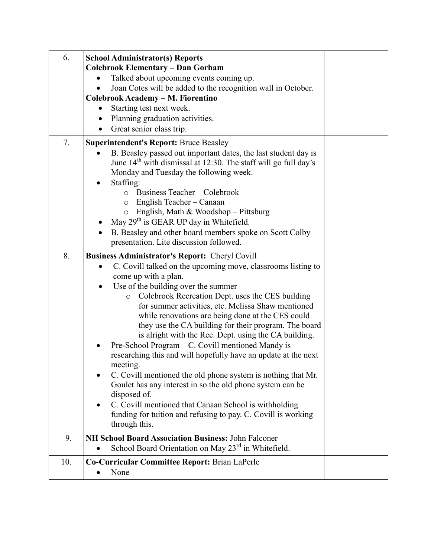| 6.  | <b>School Administrator(s) Reports</b><br><b>Colebrook Elementary - Dan Gorham</b><br>Talked about upcoming events coming up.<br>Joan Cotes will be added to the recognition wall in October.<br>Colebrook Academy - M. Fiorentino<br>Starting test next week.<br>Planning graduation activities.<br>Great senior class trip.                                                                                                                                                                                                                                                                                                                                                                                                                                                                                                                                                                                            |  |
|-----|--------------------------------------------------------------------------------------------------------------------------------------------------------------------------------------------------------------------------------------------------------------------------------------------------------------------------------------------------------------------------------------------------------------------------------------------------------------------------------------------------------------------------------------------------------------------------------------------------------------------------------------------------------------------------------------------------------------------------------------------------------------------------------------------------------------------------------------------------------------------------------------------------------------------------|--|
| 7.  | <b>Superintendent's Report: Bruce Beasley</b>                                                                                                                                                                                                                                                                                                                                                                                                                                                                                                                                                                                                                                                                                                                                                                                                                                                                            |  |
|     | B. Beasley passed out important dates, the last student day is<br>June 14 <sup>th</sup> with dismissal at 12:30. The staff will go full day's<br>Monday and Tuesday the following week.<br>Staffing:<br>Business Teacher – Colebrook<br>$\circ$<br>English Teacher – Canaan<br>$\circ$<br>English, Math & Woodshop - Pittsburg<br>$\circ$<br>May 29 <sup>th</sup> is GEAR UP day in Whitefield.<br>B. Beasley and other board members spoke on Scott Colby                                                                                                                                                                                                                                                                                                                                                                                                                                                               |  |
|     | presentation. Lite discussion followed.                                                                                                                                                                                                                                                                                                                                                                                                                                                                                                                                                                                                                                                                                                                                                                                                                                                                                  |  |
| 8.  | <b>Business Administrator's Report: Cheryl Covill</b><br>C. Covill talked on the upcoming move, classrooms listing to<br>come up with a plan.<br>Use of the building over the summer<br>Colebrook Recreation Dept. uses the CES building<br>$\circ$<br>for summer activities, etc. Melissa Shaw mentioned<br>while renovations are being done at the CES could<br>they use the CA building for their program. The board<br>is alright with the Rec. Dept. using the CA building.<br>Pre-School Program – C. Covill mentioned Mandy is<br>$\bullet$<br>researching this and will hopefully have an update at the next<br>meeting.<br>C. Covill mentioned the old phone system is nothing that Mr.<br>Goulet has any interest in so the old phone system can be<br>disposed of.<br>C. Covill mentioned that Canaan School is withholding<br>funding for tuition and refusing to pay. C. Covill is working<br>through this. |  |
| 9.  | NH School Board Association Business: John Falconer                                                                                                                                                                                                                                                                                                                                                                                                                                                                                                                                                                                                                                                                                                                                                                                                                                                                      |  |
|     | School Board Orientation on May 23 <sup>rd</sup> in Whitefield.                                                                                                                                                                                                                                                                                                                                                                                                                                                                                                                                                                                                                                                                                                                                                                                                                                                          |  |
| 10. | Co-Curricular Committee Report: Brian LaPerle<br>None                                                                                                                                                                                                                                                                                                                                                                                                                                                                                                                                                                                                                                                                                                                                                                                                                                                                    |  |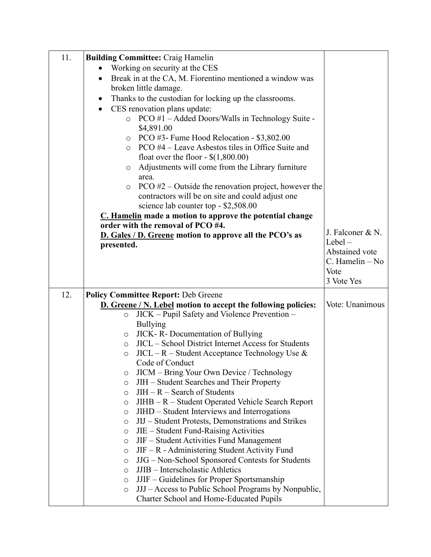| 11. | <b>Building Committee: Craig Hamelin</b>                                                                                 |                         |
|-----|--------------------------------------------------------------------------------------------------------------------------|-------------------------|
|     | Working on security at the CES                                                                                           |                         |
|     | Break in at the CA, M. Fiorentino mentioned a window was<br>$\bullet$                                                    |                         |
|     | broken little damage.                                                                                                    |                         |
|     | Thanks to the custodian for locking up the classrooms.                                                                   |                         |
|     | CES renovation plans update:<br>$\bullet$                                                                                |                         |
|     | $\circ$ PCO #1 – Added Doors/Walls in Technology Suite -                                                                 |                         |
|     | \$4,891.00                                                                                                               |                         |
|     | $\circ$ PCO #3- Fume Hood Relocation - \$3,802.00                                                                        |                         |
|     | $\circ$ PCO #4 – Leave Asbestos tiles in Office Suite and                                                                |                         |
|     | float over the floor - $$(1,800.00)$                                                                                     |                         |
|     | Adjustments will come from the Library furniture<br>$\circ$<br>area.                                                     |                         |
|     | PCO $#2$ – Outside the renovation project, however the<br>$\circ$                                                        |                         |
|     | contractors will be on site and could adjust one                                                                         |                         |
|     | science lab counter top - \$2,508.00                                                                                     |                         |
|     | C. Hamelin made a motion to approve the potential change                                                                 |                         |
|     | order with the removal of PCO #4.                                                                                        |                         |
|     | D. Gales / D. Greene motion to approve all the PCO's as                                                                  | J. Falconer & N.        |
|     | presented.                                                                                                               | $Lebel -$               |
|     |                                                                                                                          | Abstained vote          |
|     |                                                                                                                          | C. Hamelin - No<br>Vote |
|     |                                                                                                                          | 3 Vote Yes              |
|     |                                                                                                                          |                         |
| 12. | <b>Policy Committee Report: Deb Greene</b>                                                                               |                         |
|     | <b>D.</b> Greene / N. Lebel motion to accept the following policies:                                                     | Vote: Unanimous         |
|     | JICK – Pupil Safety and Violence Prevention –<br>$\circ$                                                                 |                         |
|     | <b>Bullying</b><br>JICK - R - Documentation of Bullying                                                                  |                         |
|     | O<br><b>JICL</b> – School District Internet Access for Students<br>$\circ$                                               |                         |
|     | $JICL - R - Student Acceptance Technology Use &$<br>$\circ$                                                              |                         |
|     | Code of Conduct                                                                                                          |                         |
|     | JICM – Bring Your Own Device / Technology<br>$\circ$                                                                     |                         |
|     | JIH – Student Searches and Their Property<br>$\circ$                                                                     |                         |
|     | $JIH - R - Search$ of Students<br>O                                                                                      |                         |
|     | JIHB – R – Student Operated Vehicle Search Report<br>O                                                                   |                         |
|     |                                                                                                                          |                         |
|     | JIHD – Student Interviews and Interrogations<br>O                                                                        |                         |
|     | JIJ – Student Protests, Demonstrations and Strikes<br>$\circ$                                                            |                         |
|     | JIE – Student Fund-Raising Activities<br>O                                                                               |                         |
|     | JIF – Student Activities Fund Management<br>$\circ$                                                                      |                         |
|     | $JIF - R -$ Administering Student Activity Fund<br>$\circ$                                                               |                         |
|     | JJG - Non-School Sponsored Contests for Students<br>O                                                                    |                         |
|     | JJIB - Interscholastic Athletics<br>O                                                                                    |                         |
|     | JJIF – Guidelines for Proper Sportsmanship<br>$\circ$<br>JJJ – Access to Public School Programs by Nonpublic,<br>$\circ$ |                         |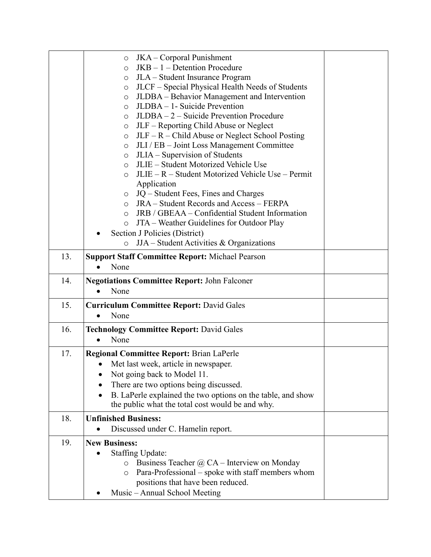|     | JKA – Corporal Punishment<br>$\circ$                                                               |  |
|-----|----------------------------------------------------------------------------------------------------|--|
|     | $JKB - 1 - Detention Procedure$<br>$\circ$                                                         |  |
|     | JLA - Student Insurance Program<br>O                                                               |  |
|     | JLCF – Special Physical Health Needs of Students<br>$\circ$                                        |  |
|     | JLDBA – Behavior Management and Intervention<br>$\circ$                                            |  |
|     | JLDBA - 1- Suicide Prevention<br>$\circ$                                                           |  |
|     | JLDBA – 2 – Suicide Prevention Procedure<br>$\circ$                                                |  |
|     | JLF – Reporting Child Abuse or Neglect<br>$\circ$                                                  |  |
|     | $JLF - R - Child$ Abuse or Neglect School Posting<br>$\circ$                                       |  |
|     | JLI / EB - Joint Loss Management Committee<br>$\circ$                                              |  |
|     | JLIA – Supervision of Students<br>$\circ$                                                          |  |
|     | JLIE – Student Motorized Vehicle Use<br>$\circ$                                                    |  |
|     | JLIE – R – Student Motorized Vehicle Use – Permit<br>$\circ$                                       |  |
|     | Application                                                                                        |  |
|     | JQ – Student Fees, Fines and Charges<br>$\circ$<br><b>JRA</b> – Student Records and Access – FERPA |  |
|     | $\circ$<br>JRB / GBEAA – Confidential Student Information<br>$\circ$                               |  |
|     | JTA - Weather Guidelines for Outdoor Play<br>$\circ$                                               |  |
|     | Section J Policies (District)                                                                      |  |
|     | $JJA - Student Activities & Organizations$<br>$\circ$                                              |  |
|     |                                                                                                    |  |
| 13. | <b>Support Staff Committee Report: Michael Pearson</b>                                             |  |
|     | None                                                                                               |  |
|     |                                                                                                    |  |
| 14. | <b>Negotiations Committee Report: John Falconer</b><br>None                                        |  |
|     |                                                                                                    |  |
| 15. | <b>Curriculum Committee Report: David Gales</b><br>$\bullet$                                       |  |
|     | None                                                                                               |  |
| 16. | <b>Technology Committee Report: David Gales</b>                                                    |  |
|     | None<br>$\bullet$                                                                                  |  |
| 17. | <b>Regional Committee Report: Brian LaPerle</b>                                                    |  |
|     | Met last week, article in newspaper.<br>$\bullet$                                                  |  |
|     | Not going back to Model 11.                                                                        |  |
|     | There are two options being discussed.                                                             |  |
|     | B. LaPerle explained the two options on the table, and show<br>$\bullet$                           |  |
|     | the public what the total cost would be and why.                                                   |  |
| 18. | <b>Unfinished Business:</b>                                                                        |  |
|     | Discussed under C. Hamelin report.                                                                 |  |
|     |                                                                                                    |  |
| 19. | <b>New Business:</b>                                                                               |  |
|     | <b>Staffing Update:</b>                                                                            |  |
|     | Business Teacher $\omega$ CA – Interview on Monday<br>$\circ$                                      |  |
|     | Para-Professional – spoke with staff members whom<br>O                                             |  |
|     | positions that have been reduced.<br>Music – Annual School Meeting                                 |  |